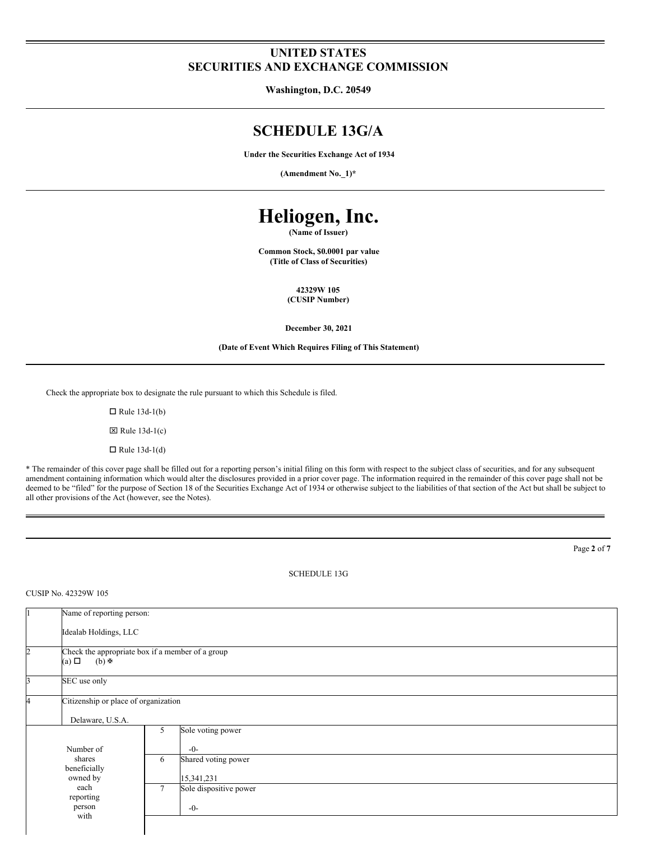# **UNITED STATES SECURITIES AND EXCHANGE COMMISSION**

**Washington, D.C. 20549**

# **SCHEDULE 13G/A**

**Under the Securities Exchange Act of 1934**

**(Amendment No.\_1)\***

# **Heliogen, Inc.**

**(Name of Issuer)**

**Common Stock, \$0.0001 par value (Title of Class of Securities)**

> **42329W 105 (CUSIP Number)**

**December 30, 2021**

#### **(Date of Event Which Requires Filing of This Statement)**

Check the appropriate box to designate the rule pursuant to which this Schedule is filed.

 $\Box$  Rule 13d-1(b)  $\boxtimes$  Rule 13d-1(c)  $\Box$  Rule 13d-1(d)

\* The remainder of this cover page shall be filled out for a reporting person's initial filing on this form with respect to the subject class of securities, and for any subsequent amendment containing information which would alter the disclosures provided in a prior cover page. The information required in the remainder of this cover page shall not be deemed to be "filed" for the purpose of Section 18 of the Securities Exchange Act of 1934 or otherwise subject to the liabilities of that section of the Act but shall be subject to all other provisions of the Act (however, see the Notes).

SCHEDULE 13G Name of reporting person: Idealab Holdings, LLC Check the appropriate box if a member of a group<br>(a)  $\Box$  (b)  $\blacktriangleright$  $(b) \oplus$ SEC use only Citizenship or place of organization Delaware, U.S.A. Number of shares beneficially owned by each reporting person with 5 Sole voting power -0- 6 Shared voting power 15,341,231 7 Sole dispositive power -0-

Page **2** of **7**

#### CUSIP No. 42329W 105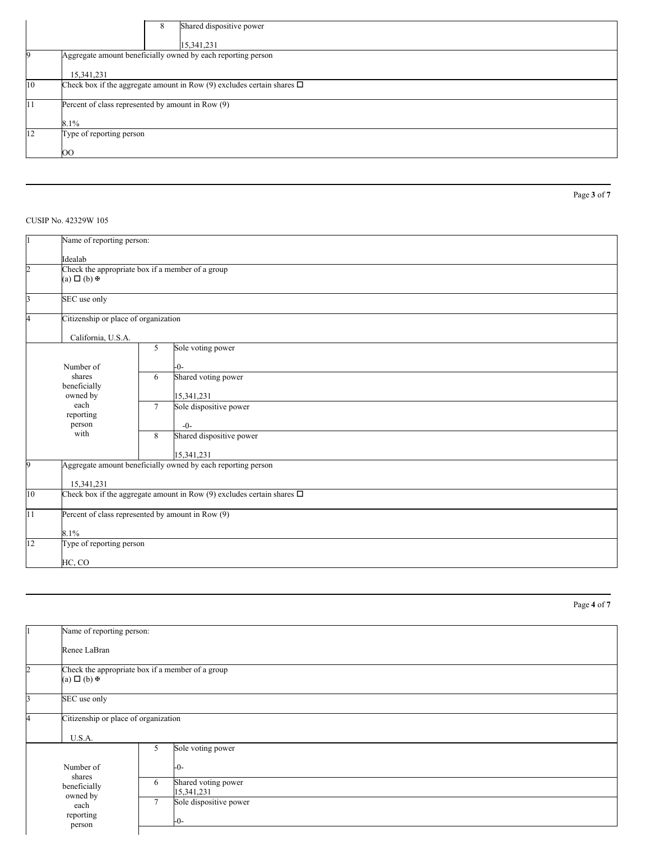|            | Shared dispositive power<br>8<br>15,341,231                                 |  |  |
|------------|-----------------------------------------------------------------------------|--|--|
|            | Aggregate amount beneficially owned by each reporting person                |  |  |
|            | 15,341,231                                                                  |  |  |
| 10         | Check box if the aggregate amount in Row (9) excludes certain shares $\Box$ |  |  |
| $\vert$ 11 | Percent of class represented by amount in Row (9)                           |  |  |
|            | 8.1%                                                                        |  |  |
| 12         | Type of reporting person                                                    |  |  |
|            | <sub>00</sub>                                                               |  |  |

## CUSIP No. 42329W 105

Name of reporting person: Idealab Check the appropriate box if a member of a group  $(a) \Box (b)$   $\overline{\mathbb{F}}$ SEC use only Citizenship or place of organization California, U.S.A. Number of shares beneficially owned by each reporting person with 5 Sole voting power -0- 6 Shared voting power 15,341,231 7 Sole dispositive power -0- 8 Shared dispositive power 15,341,231 Aggregate amount beneficially owned by each reporting person 15,341,231 10 Check box if the aggregate amount in Row (9) excludes certain shares  $\Box$ 11 Percent of class represented by amount in Row (9) 8.1% 12 Type of reporting person HC, CO

Name of reporting person: Renee LaBran Check the appropriate box if a member of a group  $(a) \Box (b)$   $\mathbb{R}$ **SEC** use only Citizenship or place of organization U.S.A. Number of shares beneficially owned by each reporting person 5 Sole voting power -0- 6 Shared voting power 15,341,231 7 Sole dispositive power -0-

Page **4** of **7**

Page **3** of **7**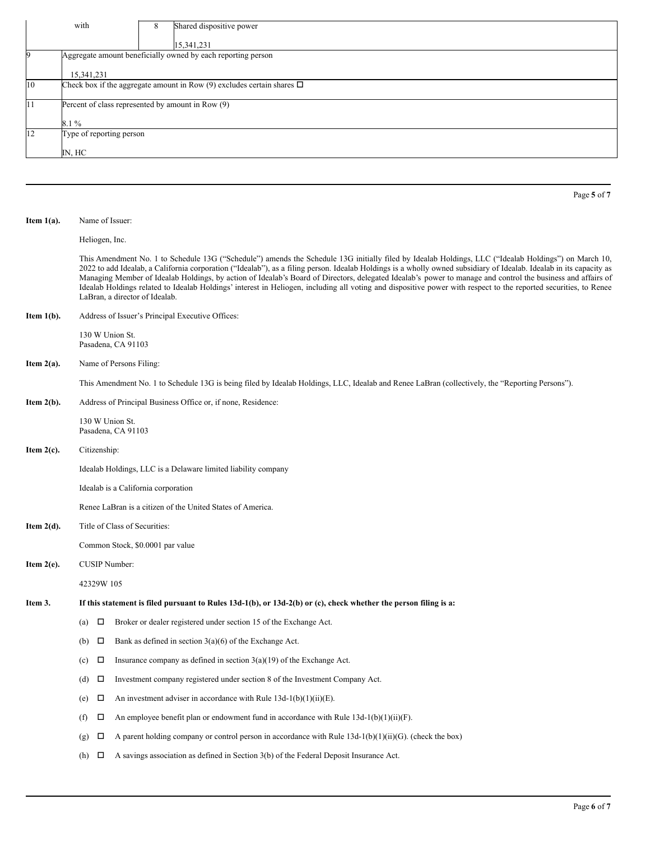|                                                         | with                                                                        |   |                          |             |  |
|---------------------------------------------------------|-----------------------------------------------------------------------------|---|--------------------------|-------------|--|
|                                                         |                                                                             | 8 | Shared dispositive power |             |  |
|                                                         |                                                                             |   | 15,341,231               |             |  |
|                                                         | Aggregate amount beneficially owned by each reporting person                |   |                          |             |  |
| 15,341,231                                              |                                                                             |   |                          |             |  |
| 10                                                      | Check box if the aggregate amount in Row (9) excludes certain shares $\Box$ |   |                          |             |  |
| Percent of class represented by amount in Row (9)<br>11 |                                                                             |   |                          |             |  |
|                                                         | $8.1\%$                                                                     |   |                          |             |  |
| 12                                                      | Type of reporting person                                                    |   |                          |             |  |
|                                                         | IN, HC                                                                      |   |                          |             |  |
|                                                         |                                                                             |   |                          |             |  |
|                                                         |                                                                             |   |                          |             |  |
|                                                         |                                                                             |   |                          | Page 5 of 7 |  |
|                                                         |                                                                             |   |                          |             |  |

#### **Item 1(a).** Name of Issuer:

Heliogen, Inc.

This Amendment No. 1 to Schedule 13G ("Schedule") amends the Schedule 13G initially filed by Idealab Holdings, LLC ("Idealab Holdings") on March 10, 2022 to add Idealab, a California corporation ("Idealab"), as a filing person. Idealab Holdings is a wholly owned subsidiary of Idealab. Idealab in its capacity as Managing Member of Idealab Holdings, by action of Idealab's Board of Directors, delegated Idealab's power to manage and control the business and affairs of Idealab Holdings related to Idealab Holdings' interest in Heliogen, including all voting and dispositive power with respect to the reported securities, to Renee LaBran, a director of Idealab.

**Item 1(b).** Address of Issuer's Principal Executive Offices:

130 W Union St. Pasadena, CA 91103

**Item 2(a).** Name of Persons Filing:

This Amendment No. 1 to Schedule 13G is being filed by Idealab Holdings, LLC, Idealab and Renee LaBran (collectively, the "Reporting Persons").

**Item 2(b).** Address of Principal Business Office or, if none, Residence:

130 W Union St. Pasadena, CA 91103

**Item 2(c).** Citizenship:

Idealab Holdings, LLC is a Delaware limited liability company

Idealab is a California corporation

Renee LaBran is a citizen of the United States of America.

**Item 2(d).** Title of Class of Securities:

Common Stock, \$0.0001 par value

**Item 2(e).** CUSIP Number:

42329W 105

#### Item 3. If this statement is filed pursuant to Rules 13d-1(b), or 13d-2(b) or (c), check whether the person filing is a:

- (a)  $\Box$  Broker or dealer registered under section 15 of the Exchange Act.
	- (b)  $\Box$  Bank as defined in section 3(a)(6) of the Exchange Act.
	- (c)  $\Box$  Insurance company as defined in section 3(a)(19) of the Exchange Act.
	- (d)  $\Box$  Investment company registered under section 8 of the Investment Company Act.
	- (e)  $\Box$  An investment adviser in accordance with Rule 13d-1(b)(1)(ii)(E).
	- (f)  $\Box$  An employee benefit plan or endowment fund in accordance with Rule 13d-1(b)(1)(ii)(F).
	- (g)  $\Box$  A parent holding company or control person in accordance with Rule 13d-1(b)(1)(ii)(G). (check the box)
	- (h)  $\Box$  A savings association as defined in Section 3(b) of the Federal Deposit Insurance Act.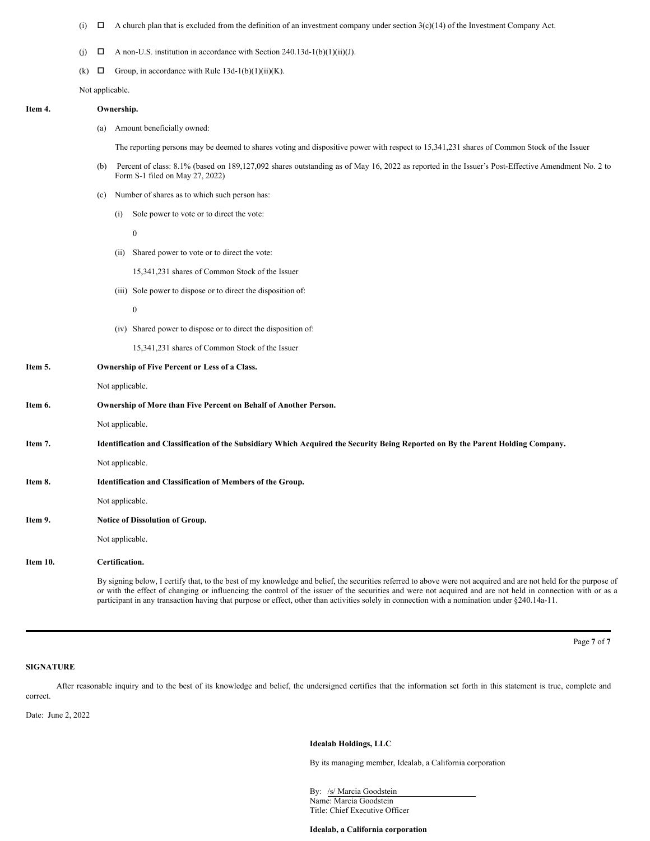- (i)  $\Box$  A church plan that is excluded from the definition of an investment company under section 3(c)(14) of the Investment Company Act.
- (j)  $\Box$  A non-U.S. institution in accordance with Section 240.13d-1(b)(1)(ii)(J).
- (k)  $\Box$  Group, in accordance with Rule 13d-1(b)(1)(ii)(K).

Not applicable.

# **Item 4. Ownership.**

(a) Amount beneficially owned:

The reporting persons may be deemed to shares voting and dispositive power with respect to 15,341,231 shares of Common Stock of the Issuer

- (b) Percent of class: 8.1% (based on 189,127,092 shares outstanding as of May 16, 2022 as reported in the Issuer's Post-Effective Amendment No. 2 to Form S-1 filed on May 27, 2022)
- (c) Number of shares as to which such person has:
	- (i) Sole power to vote or to direct the vote:

0

(ii) Shared power to vote or to direct the vote:

15,341,231 shares of Common Stock of the Issuer

(iii) Sole power to dispose or to direct the disposition of:

 $\theta$ 

(iv) Shared power to dispose or to direct the disposition of:

15,341,231 shares of Common Stock of the Issuer

| Item 5.  | Ownership of Five Percent or Less of a Class.                                                                                                            |
|----------|----------------------------------------------------------------------------------------------------------------------------------------------------------|
|          | Not applicable.                                                                                                                                          |
| Item 6.  | Ownership of More than Five Percent on Behalf of Another Person.                                                                                         |
|          | Not applicable.                                                                                                                                          |
| Item 7.  | Identification and Classification of the Subsidiary Which Acquired the Security Being Reported on By the Parent Holding Company.                         |
|          | Not applicable.                                                                                                                                          |
| Item 8.  | <b>Identification and Classification of Members of the Group.</b>                                                                                        |
|          | Not applicable.                                                                                                                                          |
| Item 9.  | <b>Notice of Dissolution of Group.</b>                                                                                                                   |
|          | Not applicable.                                                                                                                                          |
| Item 10. | Certification.                                                                                                                                           |
|          | By signing below. I certify that, to the best of my knowledge and belief, the securities referred to above were not acquired and are not held for the pu |

By signing below, I certify that, to the best of my knowledge and belief, the securities referred to above were not acquired and are not held for the purpose of or with the effect of changing or influencing the control of the issuer of the securities and were not acquired and are not held in connection with or as a participant in any transaction having that purpose or effect, other than activities solely in connection with a nomination under §240.14a-11.

Page **7** of **7**

### **SIGNATURE**

After reasonable inquiry and to the best of its knowledge and belief, the undersigned certifies that the information set forth in this statement is true, complete and correct.

Date: June 2, 2022

#### **Idealab Holdings, LLC**

By its managing member, Idealab, a California corporation

By: /s/ Marcia Goodstein Name: Marcia Goodstein Title: Chief Executive Officer

#### **Idealab, a California corporation**